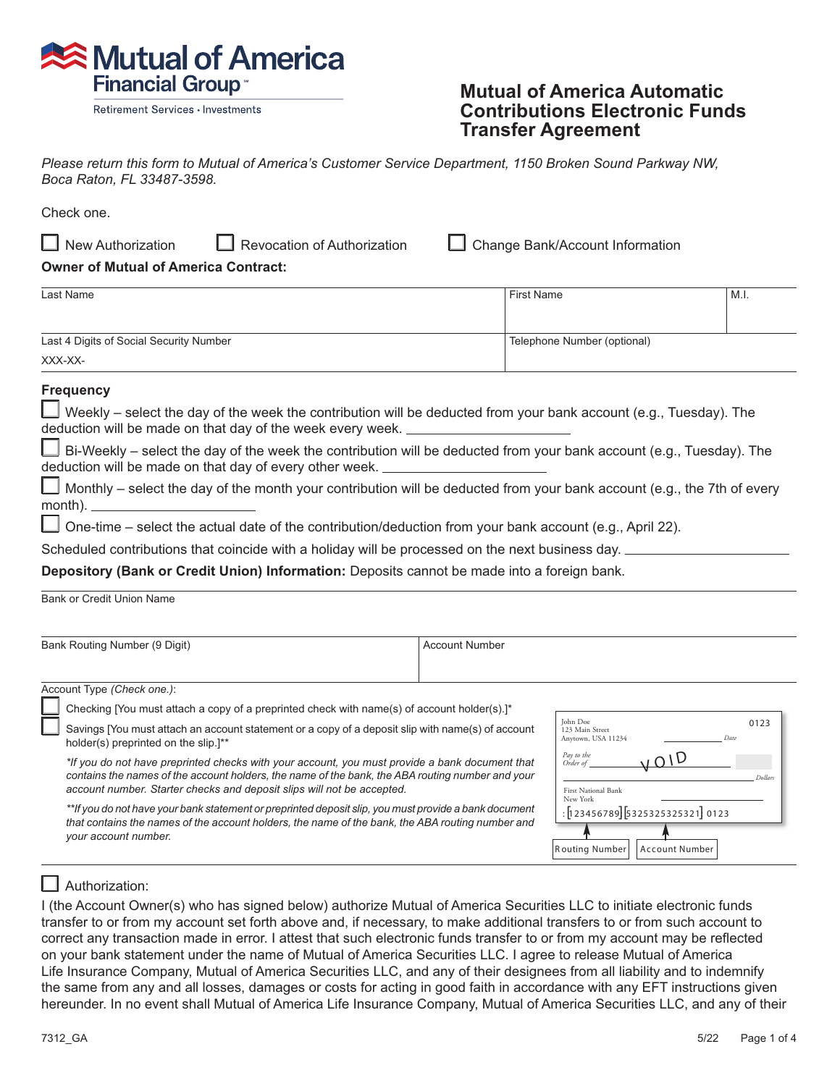

Retirement Services · Investments

## **Mutual of America Automatic Contributions Electronic Funds Transfer Agreement**

*Please return this form to Mutual of America's Customer Service Department, 1150 Broken Sound Parkway NW, Boca Raton, FL 33487-3598.*

Check one.

 $\Box$  New Authorization  $\Box$  $\Box$  Revocation of Authorization Change Bank/Account Information

**Owner of Mutual of America Contract:**

| Last Name                               | First Name                  | M.I. |
|-----------------------------------------|-----------------------------|------|
|                                         |                             |      |
| Last 4 Digits of Social Security Number | Telephone Number (optional) |      |
| XXX-XX-                                 |                             |      |

## **Frequency**

| U Weekly – select the day of the week the contribution will be deducted from your bank account (e.g., Tuesday). The |  |
|---------------------------------------------------------------------------------------------------------------------|--|
| deduction will be made on that day of the week every week.                                                          |  |

 $\Box$  Bi-Weekly – select the day of the week the contribution will be deducted from your bank account (e.g., Tuesday). The deduction will be made on that day of every other week.

 $\Box$  Monthly – select the day of the month your contribution will be deducted from your bank account (e.g., the 7th of every month).  $\Box$ 

 $\Box$ One-time – select the actual date of the contribution/deduction from your bank account (e.g., April 22).

Scheduled contributions that coincide with a holiday will be processed on the next business day.  $\perp$ 

**Depository (Bank or Credit Union) Information:** Deposits cannot be made into a foreign bank.

Bank or Credit Union Name

| Bank Routing Number (9 Digit) |                                                                                                                                                                                                                                                                              | <b>Account Number</b>                                                               |  |
|-------------------------------|------------------------------------------------------------------------------------------------------------------------------------------------------------------------------------------------------------------------------------------------------------------------------|-------------------------------------------------------------------------------------|--|
|                               |                                                                                                                                                                                                                                                                              |                                                                                     |  |
|                               | Account Type (Check one.):                                                                                                                                                                                                                                                   |                                                                                     |  |
|                               | Checking [You must attach a copy of a preprinted check with name(s) of account holder(s).]*                                                                                                                                                                                  | John Doe<br>0123                                                                    |  |
|                               | Savings [You must attach an account statement or a copy of a deposit slip with name(s) of account<br>holder(s) preprinted on the slip. <sup>1**</sup>                                                                                                                        | 123 Main Street<br>Anytown, USA 11234<br>Date                                       |  |
|                               | *If you do not have preprinted checks with your account, you must provide a bank document that<br>contains the names of the account holders, the name of the bank, the ABA routing number and your<br>account number. Starter checks and deposit slips will not be accepted. | Pay to the<br><b>LOID</b><br>Order of<br>Dollars<br>First National Bank<br>New York |  |
|                               | **If you do not have your bank statement or preprinted deposit slip, you must provide a bank document<br>that contains the names of the account holders, the name of the bank, the ABA routing number and<br>your account number.                                            | $:$ [123456789] [5325325325321] 0123<br>Routing Number<br>Account Number            |  |

# $\Box$  Authorization:

I (the Account Owner(s) who has signed below) authorize Mutual of America Securities LLC to initiate electronic funds transfer to or from my account set forth above and, if necessary, to make additional transfers to or from such account to correct any transaction made in error. I attest that such electronic funds transfer to or from my account may be reflected on your bank statement under the name of Mutual of America Securities LLC. I agree to release Mutual of America Life Insurance Company, Mutual of America Securities LLC, and any of their designees from all liability and to indemnify the same from any and all losses, damages or costs for acting in good faith in accordance with any EFT instructions given hereunder. In no event shall Mutual of America Life Insurance Company, Mutual of America Securities LLC, and any of their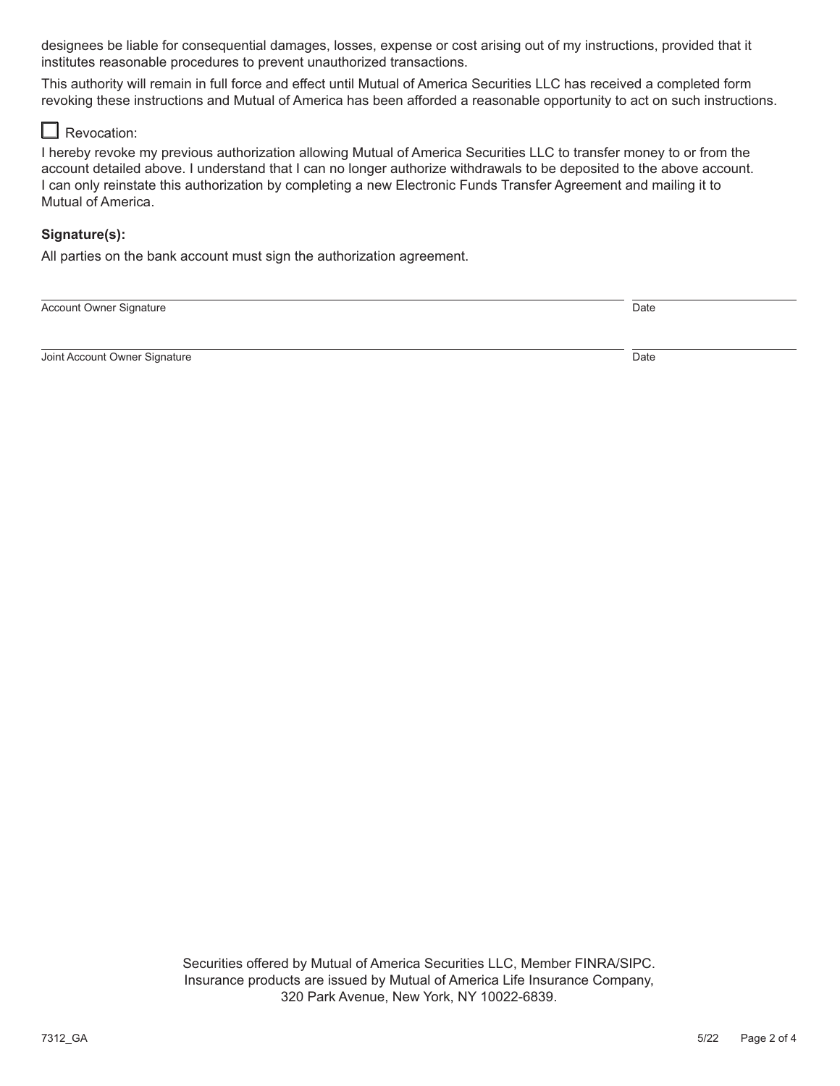designees be liable for consequential damages, losses, expense or cost arising out of my instructions, provided that it institutes reasonable procedures to prevent unauthorized transactions.

This authority will remain in full force and effect until Mutual of America Securities LLC has received a completed form revoking these instructions and Mutual of America has been afforded a reasonable opportunity to act on such instructions.

## $\Box$  Revocation:

I hereby revoke my previous authorization allowing Mutual of America Securities LLC to transfer money to or from the account detailed above. I understand that I can no longer authorize withdrawals to be deposited to the above account. I can only reinstate this authorization by completing a new Electronic Funds Transfer Agreement and mailing it to Mutual of America.

## **Signature(s):**

All parties on the bank account must sign the authorization agreement.

Account Owner Signature Date and Contract of the United States of the Date Date Date Date Date

**Joint Account Owner Signature Community Community Community Community Community Community Community Community Community Community Community Community Community Community Community Community Community Community Community C**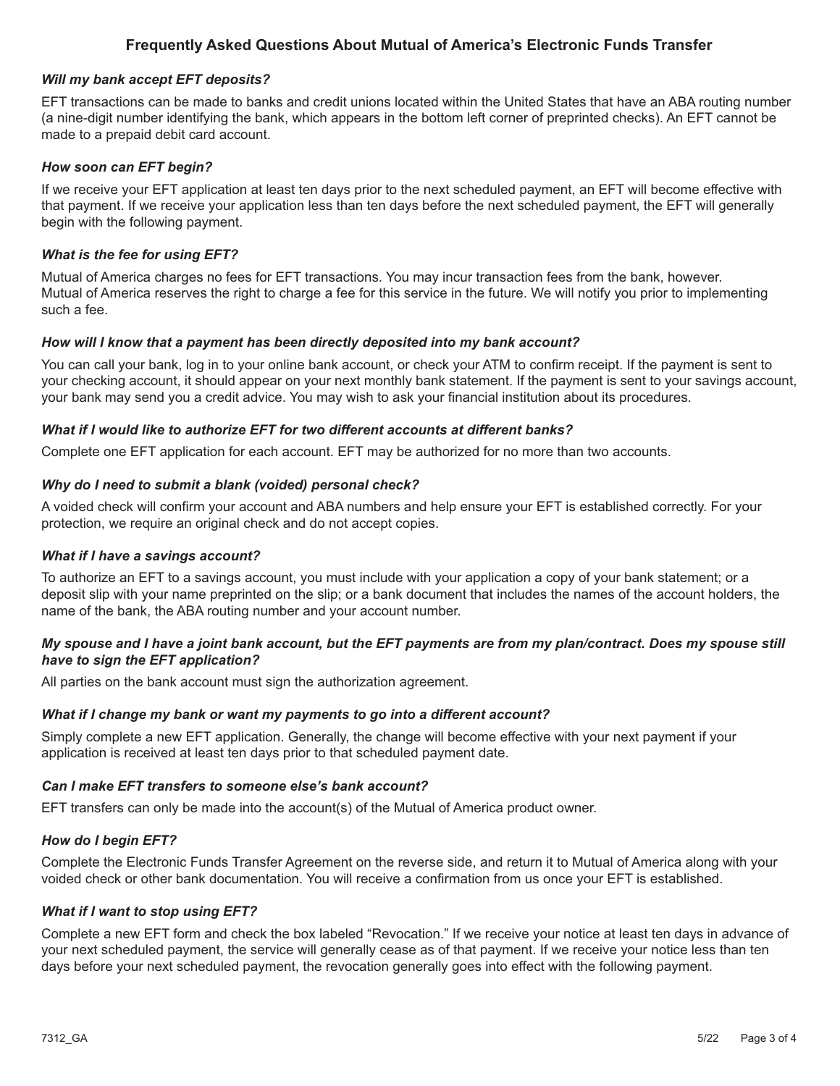## **Frequently Asked Questions About Mutual of America's Electronic Funds Transfer**

## *Will my bank accept EFT deposits?*

EFT transactions can be made to banks and credit unions located within the United States that have an ABA routing number (a nine-digit number identifying the bank, which appears in the bottom left corner of preprinted checks). An EFT cannot be made to a prepaid debit card account.

## *How soon can EFT begin?*

If we receive your EFT application at least ten days prior to the next scheduled payment, an EFT will become effective with that payment. If we receive your application less than ten days before the next scheduled payment, the EFT will generally begin with the following payment.

## *What is the fee for using EFT?*

Mutual of America charges no fees for EFT transactions. You may incur transaction fees from the bank, however. Mutual of America reserves the right to charge a fee for this service in the future. We will notify you prior to implementing such a fee.

## *How will I know that a payment has been directly deposited into my bank account?*

You can call your bank, log in to your online bank account, or check your ATM to confirm receipt. If the payment is sent to your checking account, it should appear on your next monthly bank statement. If the payment is sent to your savings account, your bank may send you a credit advice. You may wish to ask your financial institution about its procedures.

#### *What if I would like to authorize EFT for two different accounts at different banks?*

Complete one EFT application for each account. EFT may be authorized for no more than two accounts.

#### *Why do I need to submit a blank (voided) personal check?*

A voided check will confirm your account and ABA numbers and help ensure your EFT is established correctly. For your protection, we require an original check and do not accept copies.

#### *What if I have a savings account?*

To authorize an EFT to a savings account, you must include with your application a copy of your bank statement; or a deposit slip with your name preprinted on the slip; or a bank document that includes the names of the account holders, the name of the bank, the ABA routing number and your account number.

## *My spouse and I have a joint bank account, but the EFT payments are from my plan/contract. Does my spouse still have to sign the EFT application?*

All parties on the bank account must sign the authorization agreement.

## *What if I change my bank or want my payments to go into a different account?*

Simply complete a new EFT application. Generally, the change will become effective with your next payment if your application is received at least ten days prior to that scheduled payment date.

## *Can I make EFT transfers to someone else's bank account?*

EFT transfers can only be made into the account(s) of the Mutual of America product owner.

## *How do I begin EFT?*

Complete the Electronic Funds Transfer Agreement on the reverse side, and return it to Mutual of America along with your voided check or other bank documentation. You will receive a confirmation from us once your EFT is established.

## *What if I want to stop using EFT?*

Complete a new EFT form and check the box labeled "Revocation." If we receive your notice at least ten days in advance of your next scheduled payment, the service will generally cease as of that payment. If we receive your notice less than ten days before your next scheduled payment, the revocation generally goes into effect with the following payment.